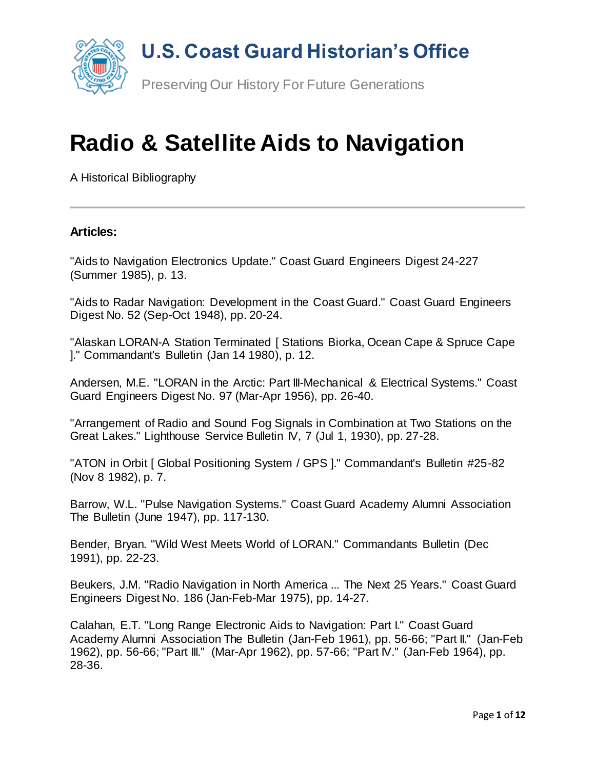

# **Radio & Satellite Aids to Navigation**

A Historical Bibliography

#### **Articles:**

"Aids to Navigation Electronics Update." Coast Guard Engineers Digest 24-227 (Summer 1985), p. 13.

"Aids to Radar Navigation: Development in the Coast Guard." Coast Guard Engineers Digest No. 52 (Sep-Oct 1948), pp. 20-24.

"Alaskan LORAN-A Station Terminated [ Stations Biorka, Ocean Cape & Spruce Cape ]." Commandant's Bulletin (Jan 14 1980), p. 12.

Andersen, M.E. "LORAN in the Arctic: Part III-Mechanical & Electrical Systems." Coast Guard Engineers Digest No. 97 (Mar-Apr 1956), pp. 26-40.

"Arrangement of Radio and Sound Fog Signals in Combination at Two Stations on the Great Lakes." Lighthouse Service Bulletin IV, 7 (Jul 1, 1930), pp. 27-28.

"ATON in Orbit [ Global Positioning System / GPS ]." Commandant's Bulletin #25-82 (Nov 8 1982), p. 7.

Barrow, W.L. "Pulse Navigation Systems." Coast Guard Academy Alumni Association The Bulletin (June 1947), pp. 117-130.

Bender, Bryan. "Wild West Meets World of LORAN." Commandants Bulletin (Dec 1991), pp. 22-23.

Beukers, J.M. "Radio Navigation in North America ... The Next 25 Years." Coast Guard Engineers Digest No. 186 (Jan-Feb-Mar 1975), pp. 14-27.

Calahan, E.T. "Long Range Electronic Aids to Navigation: Part I." Coast Guard Academy Alumni Association The Bulletin (Jan-Feb 1961), pp. 56-66; "Part II." (Jan-Feb 1962), pp. 56-66; "Part III." (Mar-Apr 1962), pp. 57-66; "Part IV." (Jan-Feb 1964), pp. 28-36.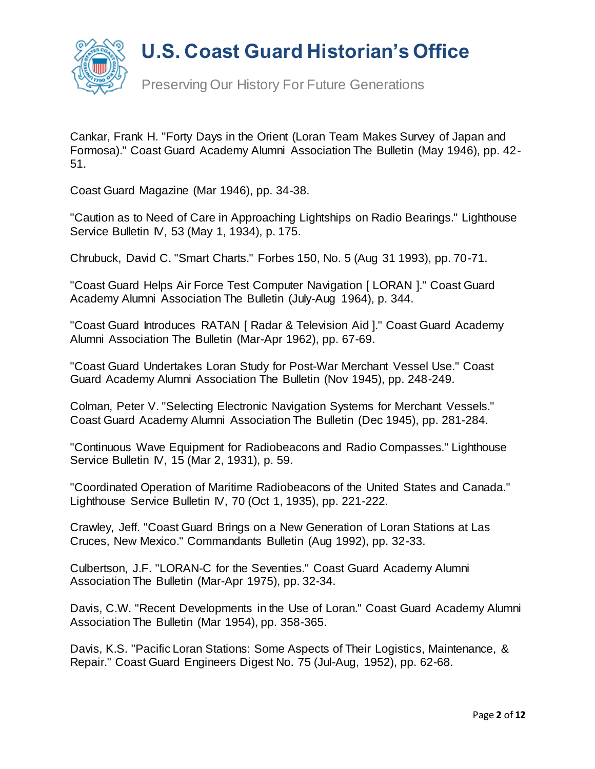

Preserving Our History For Future Generations

Cankar, Frank H. "Forty Days in the Orient (Loran Team Makes Survey of Japan and Formosa)." Coast Guard Academy Alumni Association The Bulletin (May 1946), pp. 42- 51.

Coast Guard Magazine (Mar 1946), pp. 34-38.

"Caution as to Need of Care in Approaching Lightships on Radio Bearings." Lighthouse Service Bulletin IV, 53 (May 1, 1934), p. 175.

Chrubuck, David C. "Smart Charts." Forbes 150, No. 5 (Aug 31 1993), pp. 70-71.

"Coast Guard Helps Air Force Test Computer Navigation [ LORAN ]." Coast Guard Academy Alumni Association The Bulletin (July-Aug 1964), p. 344.

"Coast Guard Introduces RATAN [ Radar & Television Aid ]." Coast Guard Academy Alumni Association The Bulletin (Mar-Apr 1962), pp. 67-69.

"Coast Guard Undertakes Loran Study for Post-War Merchant Vessel Use." Coast Guard Academy Alumni Association The Bulletin (Nov 1945), pp. 248-249.

Colman, Peter V. "Selecting Electronic Navigation Systems for Merchant Vessels." Coast Guard Academy Alumni Association The Bulletin (Dec 1945), pp. 281-284.

"Continuous Wave Equipment for Radiobeacons and Radio Compasses." Lighthouse Service Bulletin IV, 15 (Mar 2, 1931), p. 59.

"Coordinated Operation of Maritime Radiobeacons of the United States and Canada." Lighthouse Service Bulletin IV, 70 (Oct 1, 1935), pp. 221-222.

Crawley, Jeff. "Coast Guard Brings on a New Generation of Loran Stations at Las Cruces, New Mexico." Commandants Bulletin (Aug 1992), pp. 32-33.

Culbertson, J.F. "LORAN-C for the Seventies." Coast Guard Academy Alumni Association The Bulletin (Mar-Apr 1975), pp. 32-34.

Davis, C.W. "Recent Developments in the Use of Loran." Coast Guard Academy Alumni Association The Bulletin (Mar 1954), pp. 358-365.

Davis, K.S. "Pacific Loran Stations: Some Aspects of Their Logistics, Maintenance, & Repair." Coast Guard Engineers Digest No. 75 (Jul-Aug, 1952), pp. 62-68.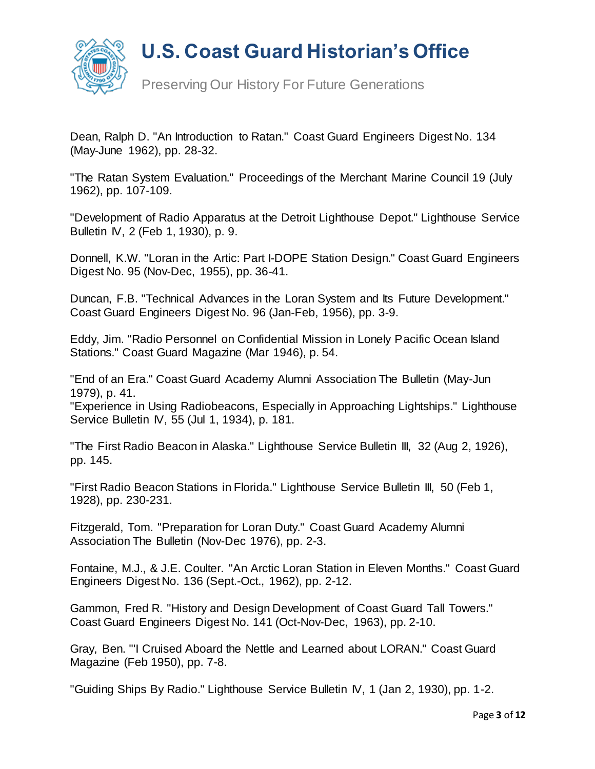

Preserving Our History For Future Generations

Dean, Ralph D. "An Introduction to Ratan." Coast Guard Engineers Digest No. 134 (May-June 1962), pp. 28-32.

"The Ratan System Evaluation." Proceedings of the Merchant Marine Council 19 (July 1962), pp. 107-109.

"Development of Radio Apparatus at the Detroit Lighthouse Depot." Lighthouse Service Bulletin IV, 2 (Feb 1, 1930), p. 9.

Donnell, K.W. "Loran in the Artic: Part I-DOPE Station Design." Coast Guard Engineers Digest No. 95 (Nov-Dec, 1955), pp. 36-41.

Duncan, F.B. "Technical Advances in the Loran System and Its Future Development." Coast Guard Engineers Digest No. 96 (Jan-Feb, 1956), pp. 3-9.

Eddy, Jim. "Radio Personnel on Confidential Mission in Lonely Pacific Ocean Island Stations." Coast Guard Magazine (Mar 1946), p. 54.

"End of an Era." Coast Guard Academy Alumni Association The Bulletin (May-Jun 1979), p. 41.

"Experience in Using Radiobeacons, Especially in Approaching Lightships." Lighthouse Service Bulletin IV, 55 (Jul 1, 1934), p. 181.

"The First Radio Beacon in Alaska." Lighthouse Service Bulletin III, 32 (Aug 2, 1926), pp. 145.

"First Radio Beacon Stations in Florida." Lighthouse Service Bulletin III, 50 (Feb 1, 1928), pp. 230-231.

Fitzgerald, Tom. "Preparation for Loran Duty." Coast Guard Academy Alumni Association The Bulletin (Nov-Dec 1976), pp. 2-3.

Fontaine, M.J., & J.E. Coulter. "An Arctic Loran Station in Eleven Months." Coast Guard Engineers Digest No. 136 (Sept.-Oct., 1962), pp. 2-12.

Gammon, Fred R. "History and Design Development of Coast Guard Tall Towers." Coast Guard Engineers Digest No. 141 (Oct-Nov-Dec, 1963), pp. 2-10.

Gray, Ben. "'I Cruised Aboard the Nettle and Learned about LORAN." Coast Guard Magazine (Feb 1950), pp. 7-8.

"Guiding Ships By Radio." Lighthouse Service Bulletin IV, 1 (Jan 2, 1930), pp. 1-2.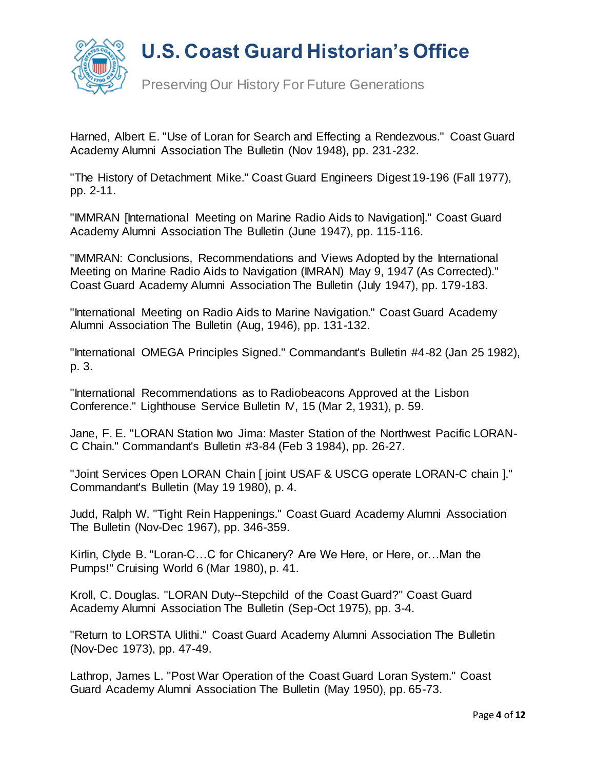



Preserving Our History For Future Generations

Harned, Albert E. "Use of Loran for Search and Effecting a Rendezvous." Coast Guard Academy Alumni Association The Bulletin (Nov 1948), pp. 231-232.

"The History of Detachment Mike." Coast Guard Engineers Digest 19-196 (Fall 1977), pp. 2-11.

"IMMRAN [International Meeting on Marine Radio Aids to Navigation]." Coast Guard Academy Alumni Association The Bulletin (June 1947), pp. 115-116.

"IMMRAN: Conclusions, Recommendations and Views Adopted by the International Meeting on Marine Radio Aids to Navigation (IMRAN) May 9, 1947 (As Corrected)." Coast Guard Academy Alumni Association The Bulletin (July 1947), pp. 179-183.

"International Meeting on Radio Aids to Marine Navigation." Coast Guard Academy Alumni Association The Bulletin (Aug, 1946), pp. 131-132.

"International OMEGA Principles Signed." Commandant's Bulletin #4-82 (Jan 25 1982), p. 3.

"International Recommendations as to Radiobeacons Approved at the Lisbon Conference." Lighthouse Service Bulletin IV, 15 (Mar 2, 1931), p. 59.

Jane, F. E. "LORAN Station Iwo Jima: Master Station of the Northwest Pacific LORAN-C Chain." Commandant's Bulletin #3-84 (Feb 3 1984), pp. 26-27.

"Joint Services Open LORAN Chain [ joint USAF & USCG operate LORAN-C chain ]." Commandant's Bulletin (May 19 1980), p. 4.

Judd, Ralph W. "Tight Rein Happenings." Coast Guard Academy Alumni Association The Bulletin (Nov-Dec 1967), pp. 346-359.

Kirlin, Clyde B. "Loran-C…C for Chicanery? Are We Here, or Here, or…Man the Pumps!" Cruising World 6 (Mar 1980), p. 41.

Kroll, C. Douglas. "LORAN Duty--Stepchild of the Coast Guard?" Coast Guard Academy Alumni Association The Bulletin (Sep-Oct 1975), pp. 3-4.

"Return to LORSTA Ulithi." Coast Guard Academy Alumni Association The Bulletin (Nov-Dec 1973), pp. 47-49.

Lathrop, James L. "Post War Operation of the Coast Guard Loran System." Coast Guard Academy Alumni Association The Bulletin (May 1950), pp. 65-73.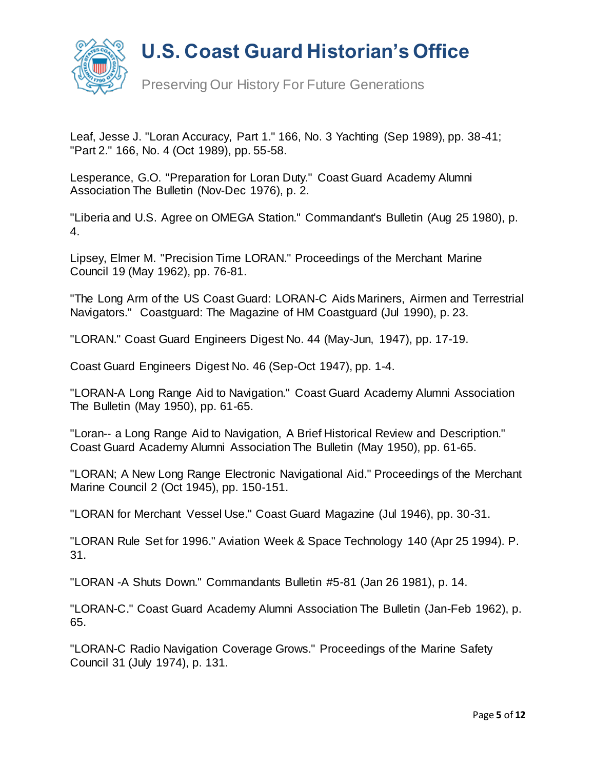

Preserving Our History For Future Generations

Leaf, Jesse J. "Loran Accuracy, Part 1." 166, No. 3 Yachting (Sep 1989), pp. 38-41; "Part 2." 166, No. 4 (Oct 1989), pp. 55-58.

Lesperance, G.O. "Preparation for Loran Duty." Coast Guard Academy Alumni Association The Bulletin (Nov-Dec 1976), p. 2.

"Liberia and U.S. Agree on OMEGA Station." Commandant's Bulletin (Aug 25 1980), p. 4.

Lipsey, Elmer M. "Precision Time LORAN." Proceedings of the Merchant Marine Council 19 (May 1962), pp. 76-81.

"The Long Arm of the US Coast Guard: LORAN-C Aids Mariners, Airmen and Terrestrial Navigators." Coastguard: The Magazine of HM Coastguard (Jul 1990), p. 23.

"LORAN." Coast Guard Engineers Digest No. 44 (May-Jun, 1947), pp. 17-19.

Coast Guard Engineers Digest No. 46 (Sep-Oct 1947), pp. 1-4.

"LORAN-A Long Range Aid to Navigation." Coast Guard Academy Alumni Association The Bulletin (May 1950), pp. 61-65.

"Loran-- a Long Range Aid to Navigation, A Brief Historical Review and Description." Coast Guard Academy Alumni Association The Bulletin (May 1950), pp. 61-65.

"LORAN; A New Long Range Electronic Navigational Aid." Proceedings of the Merchant Marine Council 2 (Oct 1945), pp. 150-151.

"LORAN for Merchant Vessel Use." Coast Guard Magazine (Jul 1946), pp. 30-31.

"LORAN Rule Set for 1996." Aviation Week & Space Technology 140 (Apr 25 1994). P. 31.

"LORAN -A Shuts Down." Commandants Bulletin #5-81 (Jan 26 1981), p. 14.

"LORAN-C." Coast Guard Academy Alumni Association The Bulletin (Jan-Feb 1962), p. 65.

"LORAN-C Radio Navigation Coverage Grows." Proceedings of the Marine Safety Council 31 (July 1974), p. 131.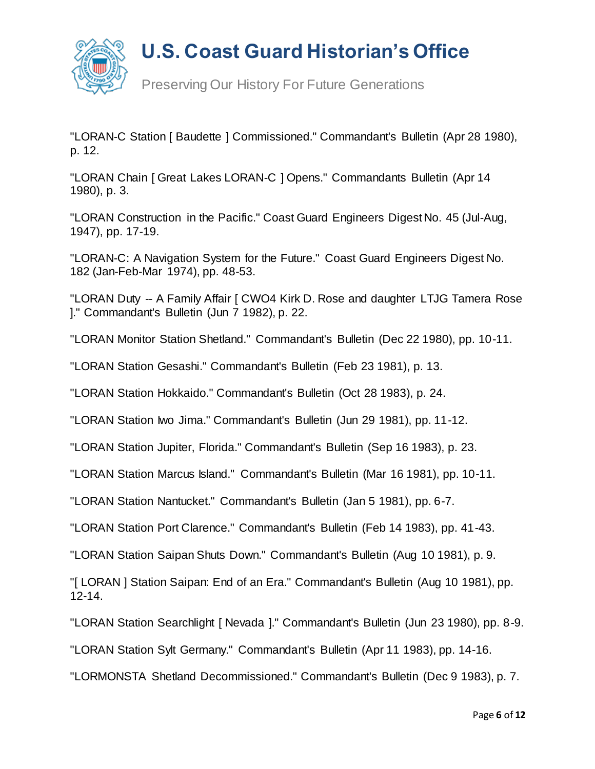

Preserving Our History For Future Generations

"LORAN-C Station [ Baudette ] Commissioned." Commandant's Bulletin (Apr 28 1980), p. 12.

"LORAN Chain [ Great Lakes LORAN-C ] Opens." Commandants Bulletin (Apr 14 1980), p. 3.

"LORAN Construction in the Pacific." Coast Guard Engineers Digest No. 45 (Jul-Aug, 1947), pp. 17-19.

"LORAN-C: A Navigation System for the Future." Coast Guard Engineers Digest No. 182 (Jan-Feb-Mar 1974), pp. 48-53.

"LORAN Duty -- A Family Affair [ CWO4 Kirk D. Rose and daughter LTJG Tamera Rose ]." Commandant's Bulletin (Jun 7 1982), p. 22.

"LORAN Monitor Station Shetland." Commandant's Bulletin (Dec 22 1980), pp. 10-11.

"LORAN Station Gesashi." Commandant's Bulletin (Feb 23 1981), p. 13.

"LORAN Station Hokkaido." Commandant's Bulletin (Oct 28 1983), p. 24.

"LORAN Station Iwo Jima." Commandant's Bulletin (Jun 29 1981), pp. 11-12.

"LORAN Station Jupiter, Florida." Commandant's Bulletin (Sep 16 1983), p. 23.

"LORAN Station Marcus Island." Commandant's Bulletin (Mar 16 1981), pp. 10-11.

"LORAN Station Nantucket." Commandant's Bulletin (Jan 5 1981), pp. 6-7.

"LORAN Station Port Clarence." Commandant's Bulletin (Feb 14 1983), pp. 41-43.

"LORAN Station Saipan Shuts Down." Commandant's Bulletin (Aug 10 1981), p. 9.

"[ LORAN ] Station Saipan: End of an Era." Commandant's Bulletin (Aug 10 1981), pp. 12-14.

"LORAN Station Searchlight [ Nevada ]." Commandant's Bulletin (Jun 23 1980), pp. 8-9.

"LORAN Station Sylt Germany." Commandant's Bulletin (Apr 11 1983), pp. 14-16.

"LORMONSTA Shetland Decommissioned." Commandant's Bulletin (Dec 9 1983), p. 7.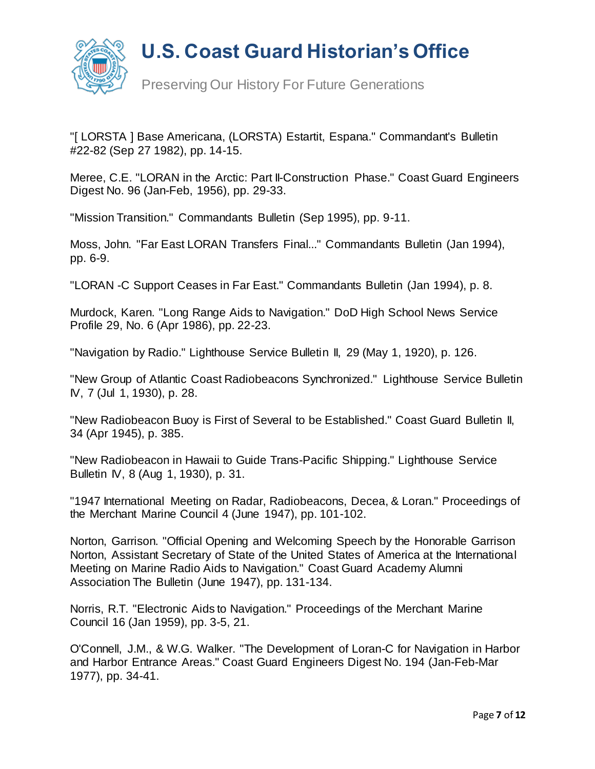

Preserving Our History For Future Generations

"[ LORSTA ] Base Americana, (LORSTA) Estartit, Espana." Commandant's Bulletin #22-82 (Sep 27 1982), pp. 14-15.

Meree, C.E. "LORAN in the Arctic: Part II-Construction Phase." Coast Guard Engineers Digest No. 96 (Jan-Feb, 1956), pp. 29-33.

"Mission Transition." Commandants Bulletin (Sep 1995), pp. 9-11.

Moss, John. "Far East LORAN Transfers Final..." Commandants Bulletin (Jan 1994), pp. 6-9.

"LORAN -C Support Ceases in Far East." Commandants Bulletin (Jan 1994), p. 8.

Murdock, Karen. "Long Range Aids to Navigation." DoD High School News Service Profile 29, No. 6 (Apr 1986), pp. 22-23.

"Navigation by Radio." Lighthouse Service Bulletin II, 29 (May 1, 1920), p. 126.

"New Group of Atlantic Coast Radiobeacons Synchronized." Lighthouse Service Bulletin IV, 7 (Jul 1, 1930), p. 28.

"New Radiobeacon Buoy is First of Several to be Established." Coast Guard Bulletin II, 34 (Apr 1945), p. 385.

"New Radiobeacon in Hawaii to Guide Trans-Pacific Shipping." Lighthouse Service Bulletin IV, 8 (Aug 1, 1930), p. 31.

"1947 International Meeting on Radar, Radiobeacons, Decea, & Loran." Proceedings of the Merchant Marine Council 4 (June 1947), pp. 101-102.

Norton, Garrison. "Official Opening and Welcoming Speech by the Honorable Garrison Norton, Assistant Secretary of State of the United States of America at the International Meeting on Marine Radio Aids to Navigation." Coast Guard Academy Alumni Association The Bulletin (June 1947), pp. 131-134.

Norris, R.T. "Electronic Aids to Navigation." Proceedings of the Merchant Marine Council 16 (Jan 1959), pp. 3-5, 21.

O'Connell, J.M., & W.G. Walker. "The Development of Loran-C for Navigation in Harbor and Harbor Entrance Areas." Coast Guard Engineers Digest No. 194 (Jan-Feb-Mar 1977), pp. 34-41.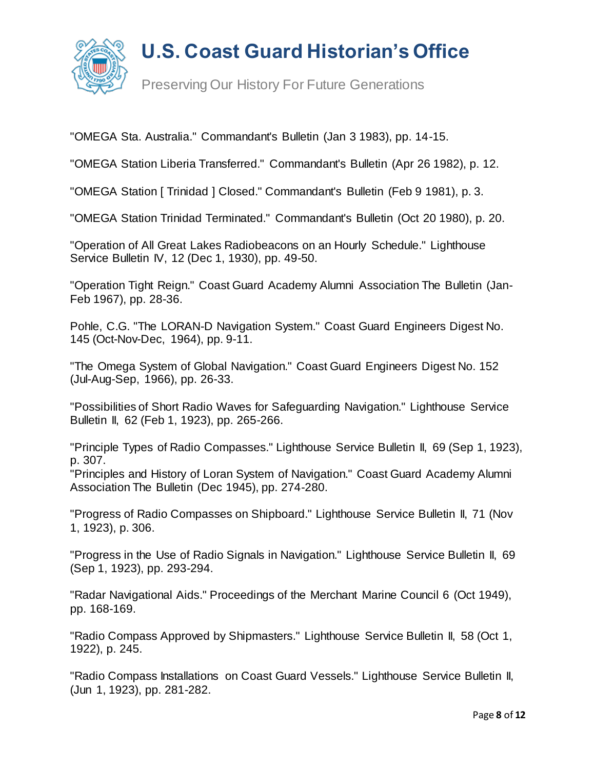

Preserving Our History For Future Generations

"OMEGA Sta. Australia." Commandant's Bulletin (Jan 3 1983), pp. 14-15.

"OMEGA Station Liberia Transferred." Commandant's Bulletin (Apr 26 1982), p. 12.

"OMEGA Station [ Trinidad ] Closed." Commandant's Bulletin (Feb 9 1981), p. 3.

"OMEGA Station Trinidad Terminated." Commandant's Bulletin (Oct 20 1980), p. 20.

"Operation of All Great Lakes Radiobeacons on an Hourly Schedule." Lighthouse Service Bulletin IV, 12 (Dec 1, 1930), pp. 49-50.

"Operation Tight Reign." Coast Guard Academy Alumni Association The Bulletin (Jan-Feb 1967), pp. 28-36.

Pohle, C.G. "The LORAN-D Navigation System." Coast Guard Engineers Digest No. 145 (Oct-Nov-Dec, 1964), pp. 9-11.

"The Omega System of Global Navigation." Coast Guard Engineers Digest No. 152 (Jul-Aug-Sep, 1966), pp. 26-33.

"Possibilities of Short Radio Waves for Safeguarding Navigation." Lighthouse Service Bulletin II, 62 (Feb 1, 1923), pp. 265-266.

"Principle Types of Radio Compasses." Lighthouse Service Bulletin II, 69 (Sep 1, 1923), p. 307.

"Principles and History of Loran System of Navigation." Coast Guard Academy Alumni Association The Bulletin (Dec 1945), pp. 274-280.

"Progress of Radio Compasses on Shipboard." Lighthouse Service Bulletin II, 71 (Nov 1, 1923), p. 306.

"Progress in the Use of Radio Signals in Navigation." Lighthouse Service Bulletin II, 69 (Sep 1, 1923), pp. 293-294.

"Radar Navigational Aids." Proceedings of the Merchant Marine Council 6 (Oct 1949), pp. 168-169.

"Radio Compass Approved by Shipmasters." Lighthouse Service Bulletin II, 58 (Oct 1, 1922), p. 245.

"Radio Compass Installations on Coast Guard Vessels." Lighthouse Service Bulletin II, (Jun 1, 1923), pp. 281-282.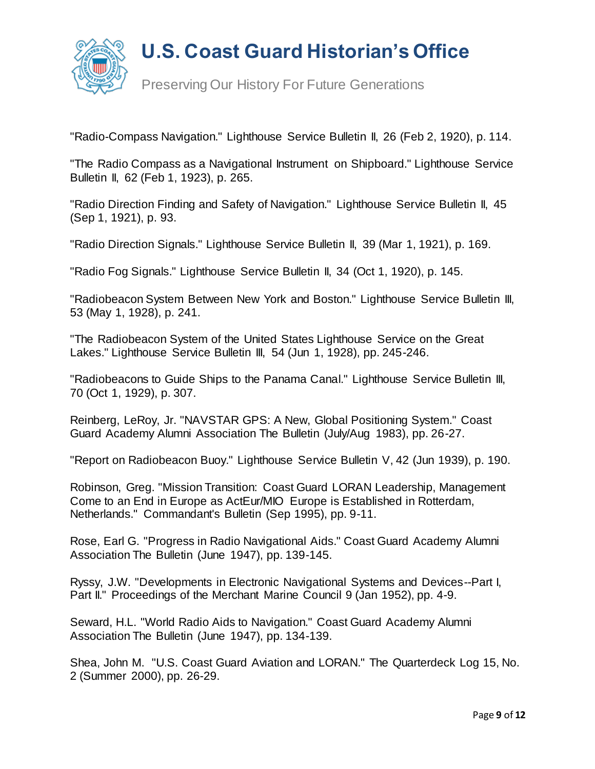

Preserving Our History For Future Generations

"Radio-Compass Navigation." Lighthouse Service Bulletin II, 26 (Feb 2, 1920), p. 114.

"The Radio Compass as a Navigational Instrument on Shipboard." Lighthouse Service Bulletin II, 62 (Feb 1, 1923), p. 265.

"Radio Direction Finding and Safety of Navigation." Lighthouse Service Bulletin II, 45 (Sep 1, 1921), p. 93.

"Radio Direction Signals." Lighthouse Service Bulletin II, 39 (Mar 1, 1921), p. 169.

"Radio Fog Signals." Lighthouse Service Bulletin II, 34 (Oct 1, 1920), p. 145.

"Radiobeacon System Between New York and Boston." Lighthouse Service Bulletin III, 53 (May 1, 1928), p. 241.

"The Radiobeacon System of the United States Lighthouse Service on the Great Lakes." Lighthouse Service Bulletin III, 54 (Jun 1, 1928), pp. 245-246.

"Radiobeacons to Guide Ships to the Panama Canal." Lighthouse Service Bulletin III, 70 (Oct 1, 1929), p. 307.

Reinberg, LeRoy, Jr. "NAVSTAR GPS: A New, Global Positioning System." Coast Guard Academy Alumni Association The Bulletin (July/Aug 1983), pp. 26-27.

"Report on Radiobeacon Buoy." Lighthouse Service Bulletin V, 42 (Jun 1939), p. 190.

Robinson, Greg. "Mission Transition: Coast Guard LORAN Leadership, Management Come to an End in Europe as ActEur/MIO Europe is Established in Rotterdam, Netherlands." Commandant's Bulletin (Sep 1995), pp. 9-11.

Rose, Earl G. "Progress in Radio Navigational Aids." Coast Guard Academy Alumni Association The Bulletin (June 1947), pp. 139-145.

Ryssy, J.W. "Developments in Electronic Navigational Systems and Devices--Part I, Part II." Proceedings of the Merchant Marine Council 9 (Jan 1952), pp. 4-9.

Seward, H.L. "World Radio Aids to Navigation." Coast Guard Academy Alumni Association The Bulletin (June 1947), pp. 134-139.

Shea, John M. "U.S. Coast Guard Aviation and LORAN." The Quarterdeck Log 15, No. 2 (Summer 2000), pp. 26-29.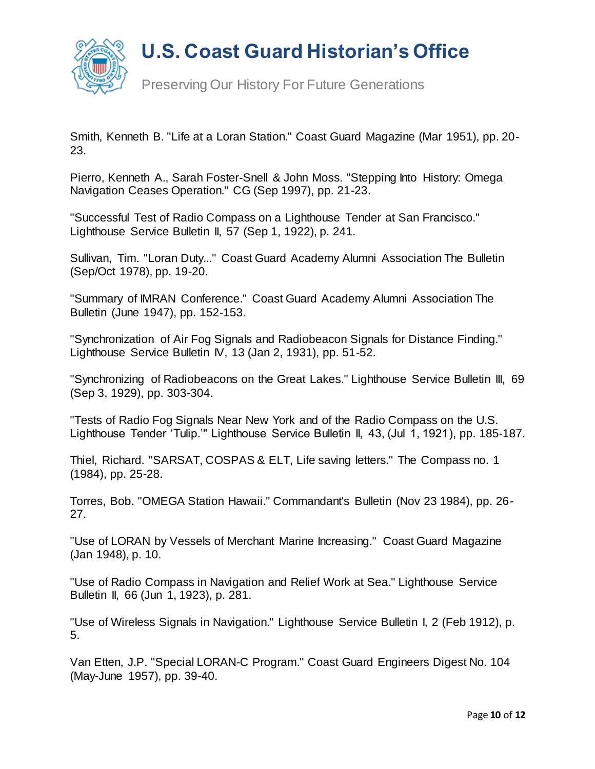

Preserving Our History For Future Generations

Smith, Kenneth B. "Life at a Loran Station." Coast Guard Magazine (Mar 1951), pp. 20- 23.

Pierro, Kenneth A., Sarah Foster-Snell & John Moss. "Stepping Into History: Omega Navigation Ceases Operation." CG (Sep 1997), pp. 21-23.

"Successful Test of Radio Compass on a Lighthouse Tender at San Francisco." Lighthouse Service Bulletin II, 57 (Sep 1, 1922), p. 241.

Sullivan, Tim. "Loran Duty..." Coast Guard Academy Alumni Association The Bulletin (Sep/Oct 1978), pp. 19-20.

"Summary of IMRAN Conference." Coast Guard Academy Alumni Association The Bulletin (June 1947), pp. 152-153.

"Synchronization of Air Fog Signals and Radiobeacon Signals for Distance Finding." Lighthouse Service Bulletin IV, 13 (Jan 2, 1931), pp. 51-52.

"Synchronizing of Radiobeacons on the Great Lakes." Lighthouse Service Bulletin III, 69 (Sep 3, 1929), pp. 303-304.

"Tests of Radio Fog Signals Near New York and of the Radio Compass on the U.S. Lighthouse Tender 'Tulip.'" Lighthouse Service Bulletin II, 43, (Jul 1, 1921), pp. 185-187.

Thiel, Richard. "SARSAT, COSPAS & ELT, Life saving letters." The Compass no. 1 (1984), pp. 25-28.

Torres, Bob. "OMEGA Station Hawaii." Commandant's Bulletin (Nov 23 1984), pp. 26- 27.

"Use of LORAN by Vessels of Merchant Marine Increasing." Coast Guard Magazine (Jan 1948), p. 10.

"Use of Radio Compass in Navigation and Relief Work at Sea." Lighthouse Service Bulletin II, 66 (Jun 1, 1923), p. 281.

"Use of Wireless Signals in Navigation." Lighthouse Service Bulletin I, 2 (Feb 1912), p. 5.

Van Etten, J.P. "Special LORAN-C Program." Coast Guard Engineers Digest No. 104 (May-June 1957), pp. 39-40.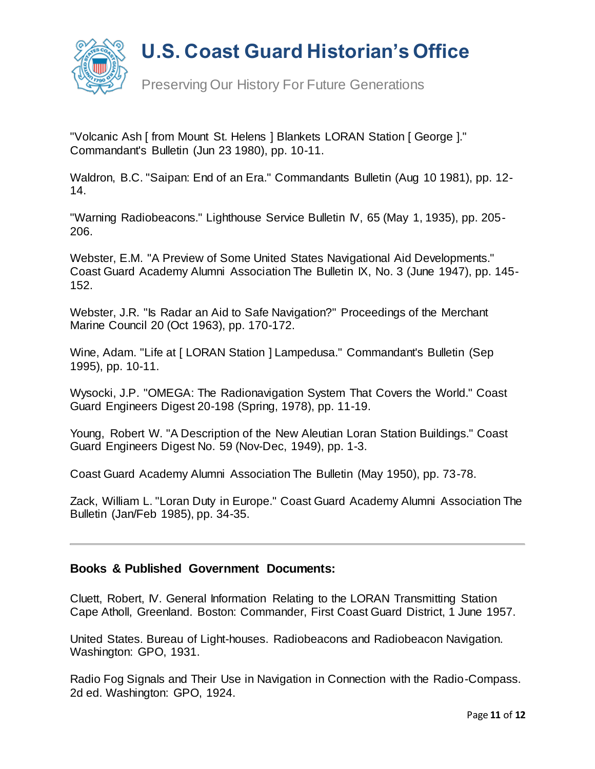

Preserving Our History For Future Generations

"Volcanic Ash [ from Mount St. Helens ] Blankets LORAN Station [ George ]." Commandant's Bulletin (Jun 23 1980), pp. 10-11.

Waldron, B.C. "Saipan: End of an Era." Commandants Bulletin (Aug 10 1981), pp. 12- 14.

"Warning Radiobeacons." Lighthouse Service Bulletin IV, 65 (May 1, 1935), pp. 205- 206.

Webster, E.M. "A Preview of Some United States Navigational Aid Developments." Coast Guard Academy Alumni Association The Bulletin IX, No. 3 (June 1947), pp. 145- 152.

Webster, J.R. "Is Radar an Aid to Safe Navigation?" Proceedings of the Merchant Marine Council 20 (Oct 1963), pp. 170-172.

Wine, Adam. "Life at [ LORAN Station ] Lampedusa." Commandant's Bulletin (Sep 1995), pp. 10-11.

Wysocki, J.P. "OMEGA: The Radionavigation System That Covers the World." Coast Guard Engineers Digest 20-198 (Spring, 1978), pp. 11-19.

Young, Robert W. "A Description of the New Aleutian Loran Station Buildings." Coast Guard Engineers Digest No. 59 (Nov-Dec, 1949), pp. 1-3.

Coast Guard Academy Alumni Association The Bulletin (May 1950), pp. 73-78.

Zack, William L. "Loran Duty in Europe." Coast Guard Academy Alumni Association The Bulletin (Jan/Feb 1985), pp. 34-35.

#### **Books & Published Government Documents:**

Cluett, Robert, IV. General Information Relating to the LORAN Transmitting Station Cape Atholl, Greenland. Boston: Commander, First Coast Guard District, 1 June 1957.

United States. Bureau of Light-houses. Radiobeacons and Radiobeacon Navigation. Washington: GPO, 1931.

Radio Fog Signals and Their Use in Navigation in Connection with the Radio-Compass. 2d ed. Washington: GPO, 1924.